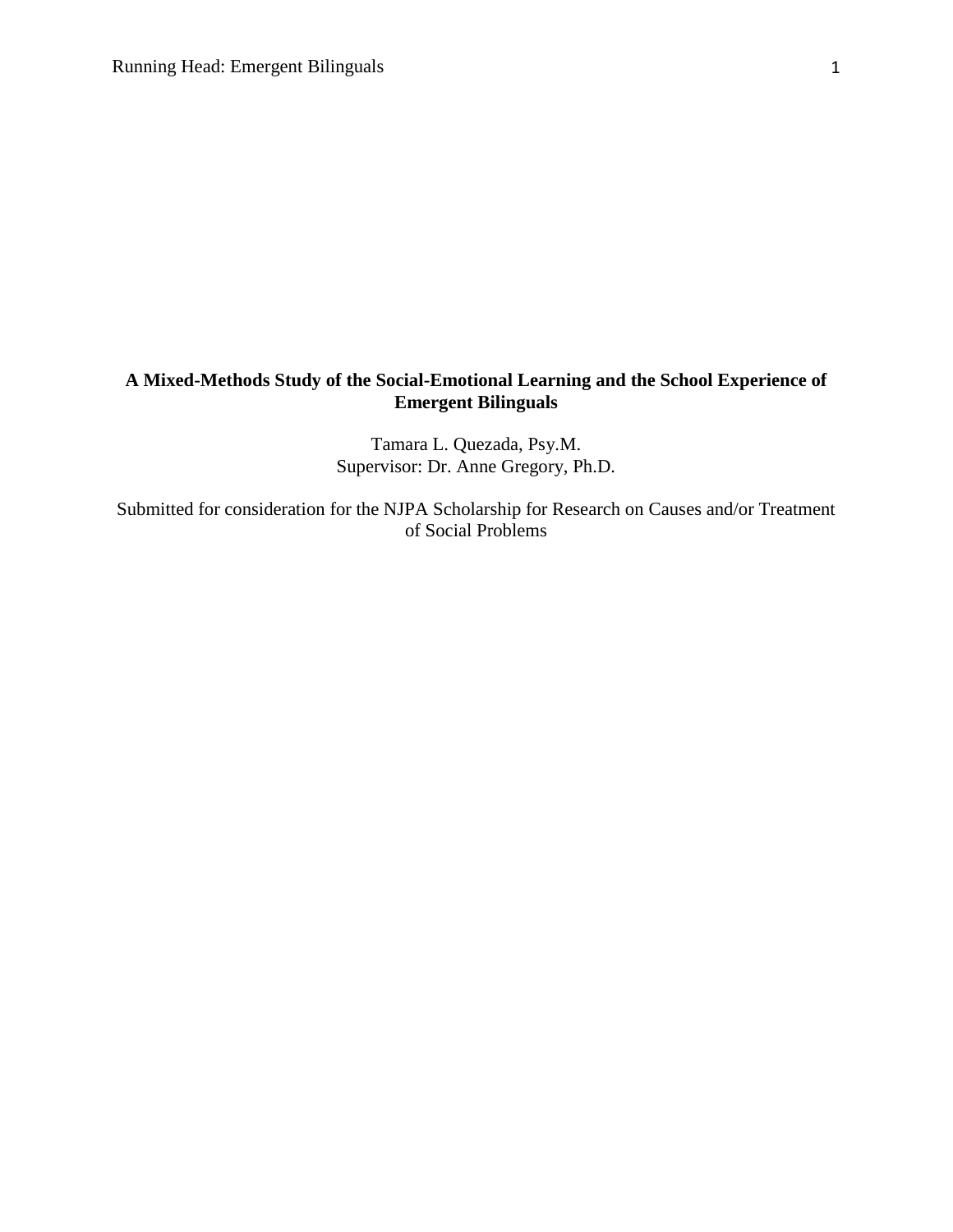# **A Mixed-Methods Study of the Social-Emotional Learning and the School Experience of Emergent Bilinguals**

Tamara L. Quezada, Psy.M. Supervisor: Dr. Anne Gregory, Ph.D.

Submitted for consideration for the NJPA Scholarship for Research on Causes and/or Treatment of Social Problems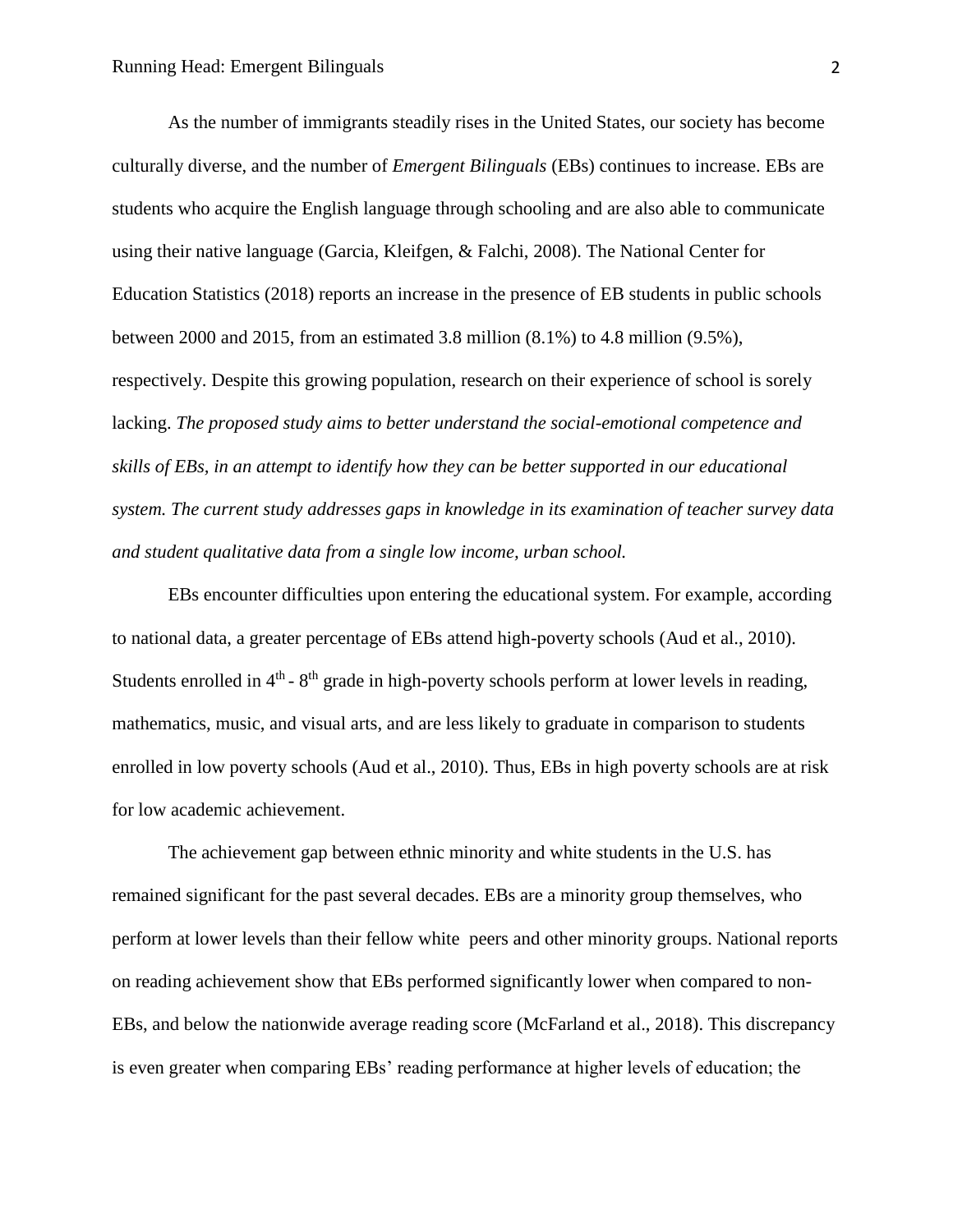As the number of immigrants steadily rises in the United States, our society has become culturally diverse, and the number of *Emergent Bilinguals* (EBs) continues to increase. EBs are students who acquire the English language through schooling and are also able to communicate using their native language (Garcia, Kleifgen, & Falchi, 2008). The National Center for Education Statistics (2018) reports an increase in the presence of EB students in public schools between 2000 and 2015, from an estimated 3.8 million (8.1%) to 4.8 million (9.5%), respectively. Despite this growing population, research on their experience of school is sorely lacking. *The proposed study aims to better understand the social-emotional competence and skills of EBs, in an attempt to identify how they can be better supported in our educational system. The current study addresses gaps in knowledge in its examination of teacher survey data and student qualitative data from a single low income, urban school.* 

EBs encounter difficulties upon entering the educational system. For example, according to national data, a greater percentage of EBs attend high-poverty schools (Aud et al., 2010). Students enrolled in 4<sup>th</sup> - 8<sup>th</sup> grade in high-poverty schools perform at lower levels in reading, mathematics, music, and visual arts, and are less likely to graduate in comparison to students enrolled in low poverty schools (Aud et al., 2010). Thus, EBs in high poverty schools are at risk for low academic achievement.

The achievement gap between ethnic minority and white students in the U.S. has remained significant for the past several decades. EBs are a minority group themselves, who perform at lower levels than their fellow white peers and other minority groups. National reports on reading achievement show that EBs performed significantly lower when compared to non-EBs, and below the nationwide average reading score (McFarland et al., 2018). This discrepancy is even greater when comparing EBs' reading performance at higher levels of education; the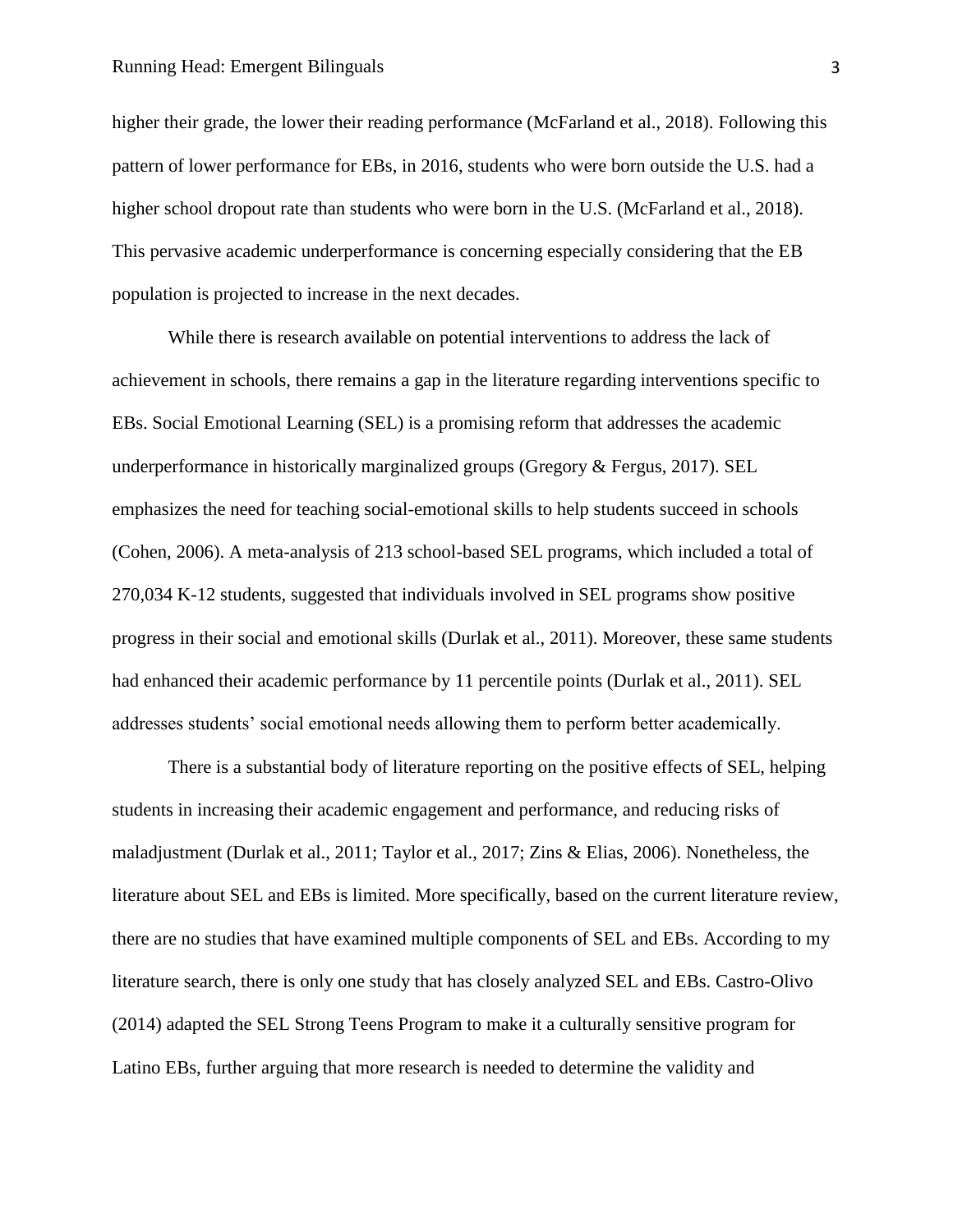#### Running Head: Emergent Bilinguals 3

higher their grade, the lower their reading performance (McFarland et al., 2018). Following this pattern of lower performance for EBs, in 2016, students who were born outside the U.S. had a higher school dropout rate than students who were born in the U.S. (McFarland et al., 2018). This pervasive academic underperformance is concerning especially considering that the EB population is projected to increase in the next decades.

While there is research available on potential interventions to address the lack of achievement in schools, there remains a gap in the literature regarding interventions specific to EBs. Social Emotional Learning (SEL) is a promising reform that addresses the academic underperformance in historically marginalized groups (Gregory & Fergus, 2017). SEL emphasizes the need for teaching social-emotional skills to help students succeed in schools (Cohen, 2006). A meta-analysis of 213 school-based SEL programs, which included a total of 270,034 K-12 students, suggested that individuals involved in SEL programs show positive progress in their social and emotional skills (Durlak et al., 2011). Moreover, these same students had enhanced their academic performance by 11 percentile points (Durlak et al., 2011). SEL addresses students' social emotional needs allowing them to perform better academically.

There is a substantial body of literature reporting on the positive effects of SEL, helping students in increasing their academic engagement and performance, and reducing risks of maladjustment (Durlak et al., 2011; Taylor et al., 2017; Zins & Elias, 2006). Nonetheless, the literature about SEL and EBs is limited. More specifically, based on the current literature review, there are no studies that have examined multiple components of SEL and EBs. According to my literature search, there is only one study that has closely analyzed SEL and EBs. Castro-Olivo (2014) adapted the SEL Strong Teens Program to make it a culturally sensitive program for Latino EBs, further arguing that more research is needed to determine the validity and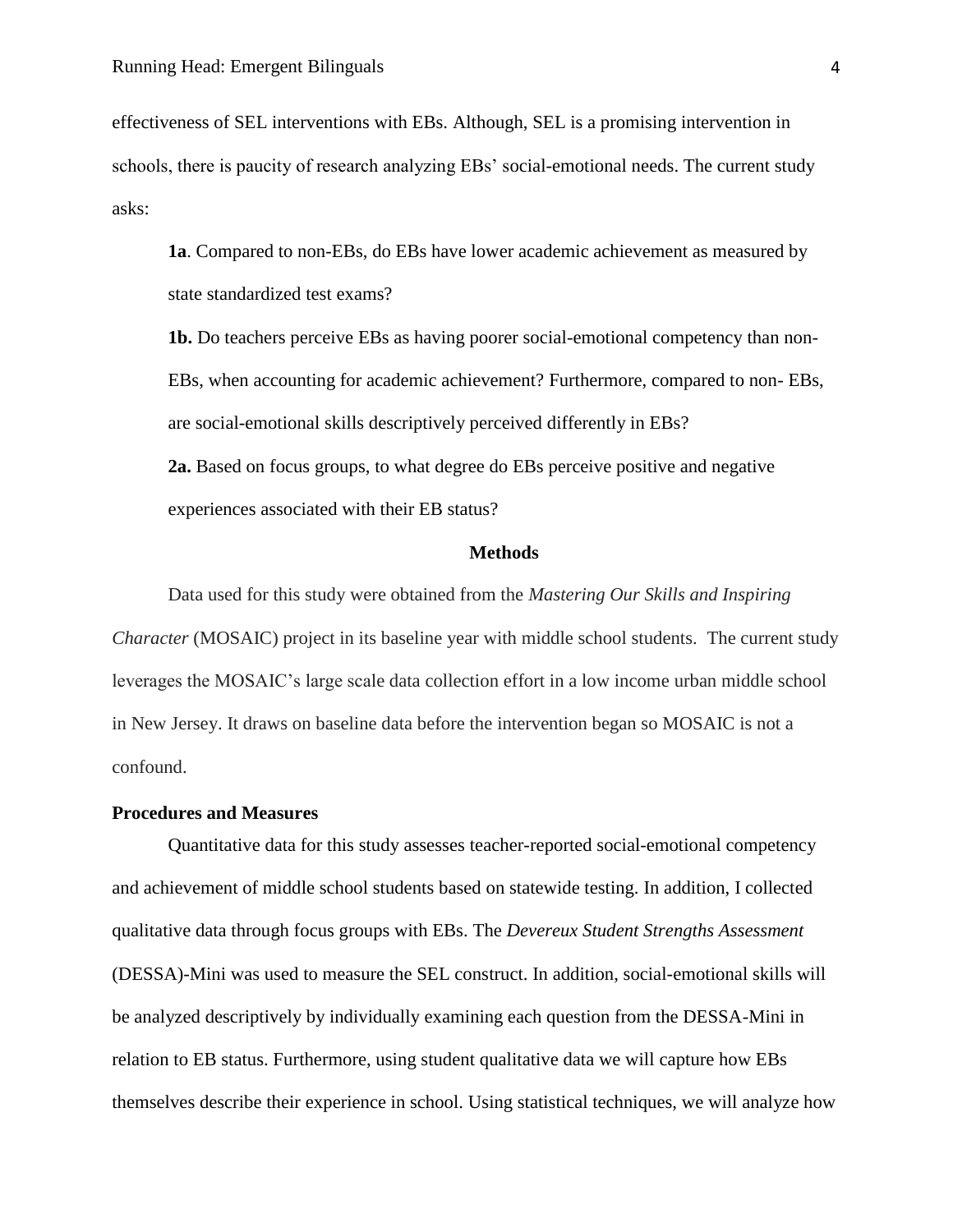effectiveness of SEL interventions with EBs. Although, SEL is a promising intervention in schools, there is paucity of research analyzing EBs' social-emotional needs. The current study asks:

**1a**. Compared to non-EBs, do EBs have lower academic achievement as measured by state standardized test exams?

**1b.** Do teachers perceive EBs as having poorer social-emotional competency than non-EBs, when accounting for academic achievement? Furthermore, compared to non- EBs, are social-emotional skills descriptively perceived differently in EBs?

**2a.** Based on focus groups, to what degree do EBs perceive positive and negative experiences associated with their EB status?

### **Methods**

Data used for this study were obtained from the *Mastering Our Skills and Inspiring Character* (MOSAIC) project in its baseline year with middle school students. The current study leverages the MOSAIC's large scale data collection effort in a low income urban middle school in New Jersey. It draws on baseline data before the intervention began so MOSAIC is not a confound.

### **Procedures and Measures**

Quantitative data for this study assesses teacher-reported social-emotional competency and achievement of middle school students based on statewide testing. In addition, I collected qualitative data through focus groups with EBs. The *Devereux Student Strengths Assessment*  (DESSA)-Mini was used to measure the SEL construct. In addition, social-emotional skills will be analyzed descriptively by individually examining each question from the DESSA-Mini in relation to EB status. Furthermore, using student qualitative data we will capture how EBs themselves describe their experience in school. Using statistical techniques, we will analyze how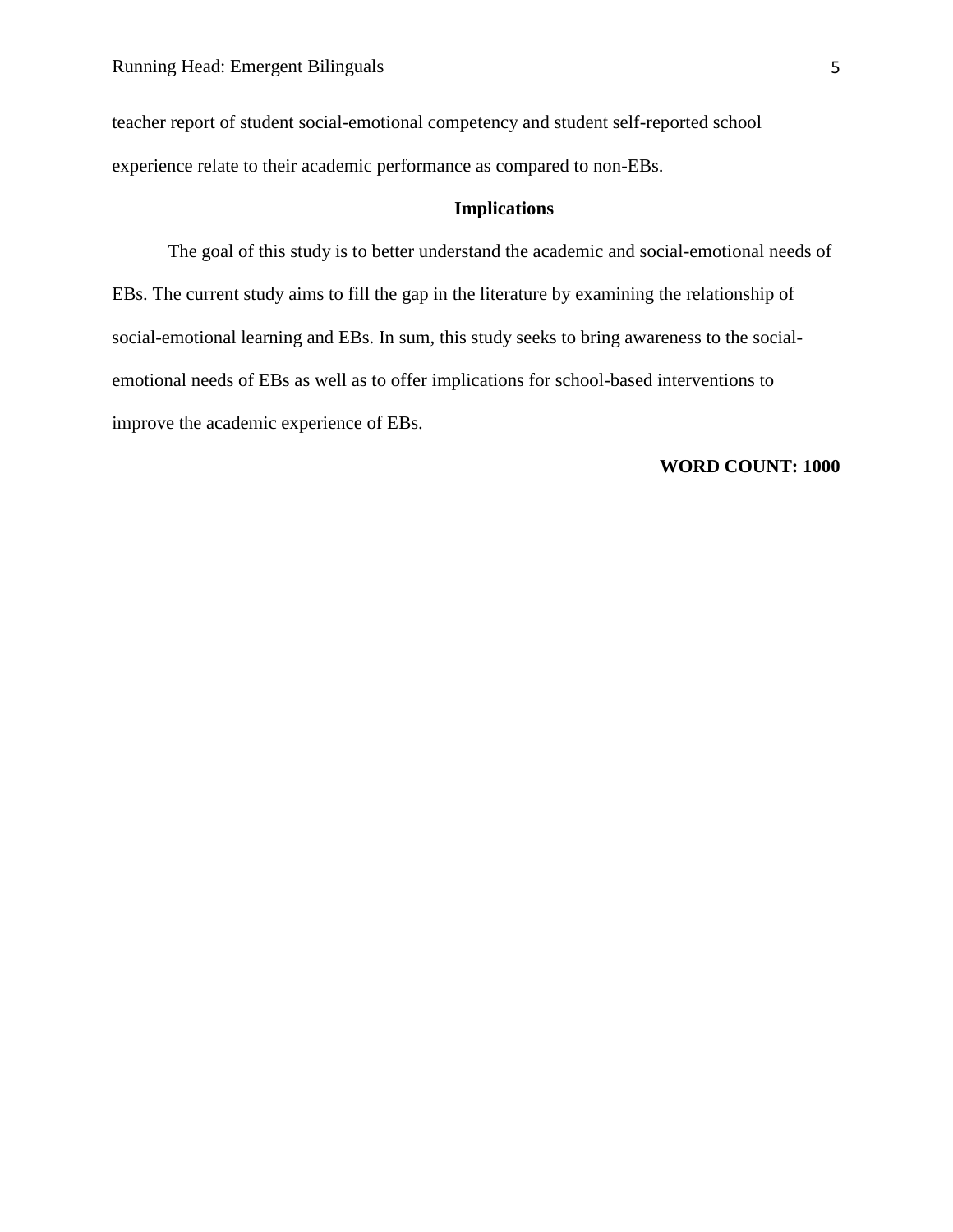teacher report of student social-emotional competency and student self-reported school experience relate to their academic performance as compared to non-EBs.

## **Implications**

The goal of this study is to better understand the academic and social-emotional needs of EBs. The current study aims to fill the gap in the literature by examining the relationship of social-emotional learning and EBs. In sum, this study seeks to bring awareness to the socialemotional needs of EBs as well as to offer implications for school-based interventions to improve the academic experience of EBs.

## **WORD COUNT: 1000**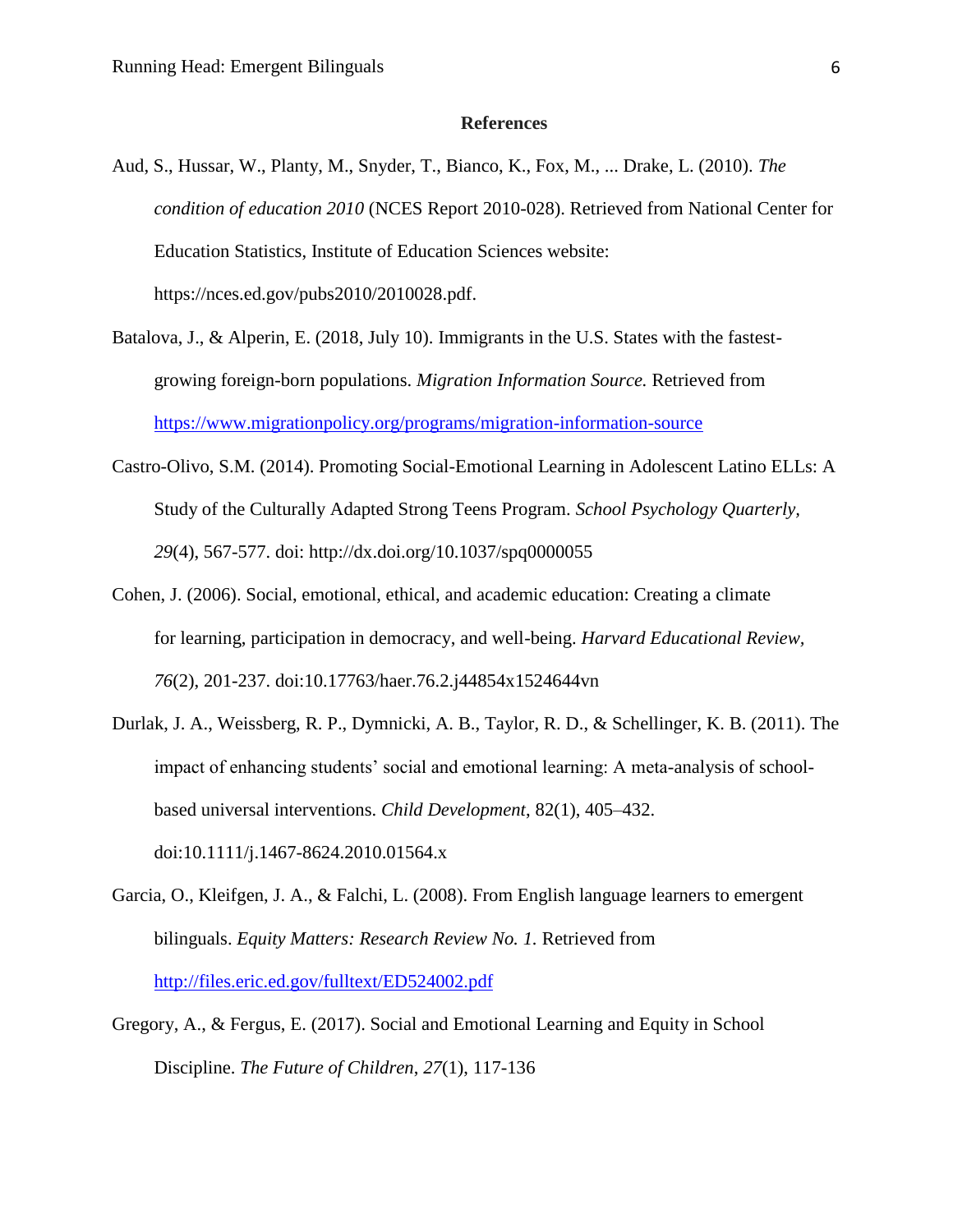### **References**

- Aud, S., Hussar, W., Planty, M., Snyder, T., Bianco, K., Fox, M., ... Drake, L. (2010). *The condition of education 2010* (NCES Report 2010-028). Retrieved from National Center for Education Statistics, Institute of Education Sciences website: https://nces.ed.gov/pubs2010/2010028.pdf.
- Batalova, J., & Alperin, E. (2018, July 10). Immigrants in the U.S. States with the fastestgrowing foreign-born populations. *Migration Information Source.* Retrieved from <https://www.migrationpolicy.org/programs/migration-information-source>
- Castro-Olivo, S.M. (2014). Promoting Social-Emotional Learning in Adolescent Latino ELLs: A Study of the Culturally Adapted Strong Teens Program. *School Psychology Quarterly, 29*(4), 567-577. doi: http://dx.doi.org/10.1037/spq0000055
- Cohen, J. (2006). Social, emotional, ethical, and academic education: Creating a climate for learning, participation in democracy, and well-being. *Harvard Educational Review, 76*(2), 201-237. doi:10.17763/haer.76.2.j44854x1524644vn
- Durlak, J. A., Weissberg, R. P., Dymnicki, A. B., Taylor, R. D., & Schellinger, K. B. (2011). The impact of enhancing students' social and emotional learning: A meta-analysis of schoolbased universal interventions. *Child Development*, 82(1), 405–432. doi:10.1111/j.1467-8624.2010.01564.x
- Garcia, O., Kleifgen, J. A., & Falchi, L. (2008). From English language learners to emergent bilinguals. *Equity Matters: Research Review No. 1.* Retrieved from <http://files.eric.ed.gov/fulltext/ED524002.pdf>
- Gregory, A., & Fergus, E. (2017). Social and Emotional Learning and Equity in School Discipline. *The Future of Children*, *27*(1), 117-136